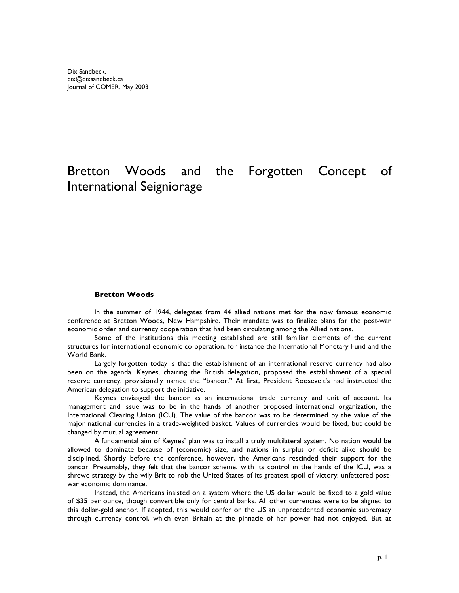# Bretton Woods and the Forgotten Concept of International Seigniorage

#### **Bretton Woods**

In the summer of 1944, delegates from 44 allied nations met for the now famous economic conference at Bretton Woods, New Hampshire. Their mandate was to finalize plans for the post-war economic order and currency cooperation that had been circulating among the Allied nations.

Some of the institutions this meeting established are still familiar elements of the current structures for international economic co-operation, for instance the International Monetary Fund and the World Bank.

Largely forgotten today is that the establishment of an international reserve currency had also been on the agenda. Keynes, chairing the British delegation, proposed the establishment of a special reserve currency, provisionally named the "bancor." At first, President Roosevelt's had instructed the American delegation to support the initiative.

Keynes envisaged the bancor as an international trade currency and unit of account. Its management and issue was to be in the hands of another proposed international organization, the International Clearing Union (ICU). The value of the bancor was to be determined by the value of the major national currencies in a trade-weighted basket. Values of currencies would be fixed, but could be changed by mutual agreement.

A fundamental aim of Keynes' plan was to install a truly multilateral system. No nation would be allowed to dominate because of (economic) size, and nations in surplus or deficit alike should be disciplined. Shortly before the conference, however, the Americans rescinded their support for the bancor. Presumably, they felt that the bancor scheme, with its control in the hands of the ICU, was a shrewd strategy by the wily Brit to rob the United States of its greatest spoil of victory: unfettered postwar economic dominance.

Instead, the Americans insisted on a system where the US dollar would be fixed to a gold value of \$35 per ounce, though convertible only for central banks. All other currencies were to be aligned to this dollar-gold anchor. If adopted, this would confer on the US an unprecedented economic supremacy through currency control, which even Britain at the pinnacle of her power had not enjoyed. But at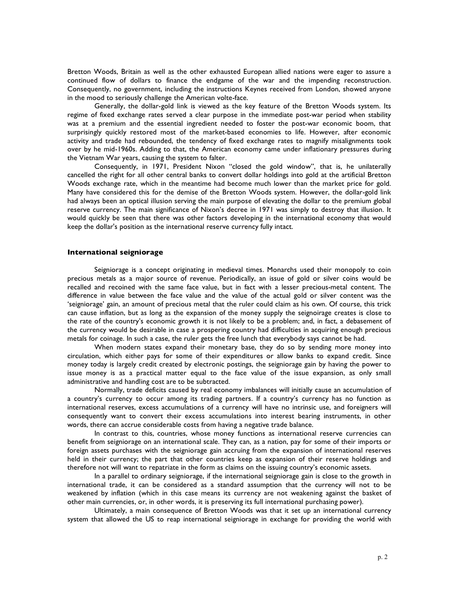Bretton Woods, Britain as well as the other exhausted European allied nations were eager to assure a continued flow of dollars to finance the endgame of the war and the impending reconstruction. Consequently, no government, including the instructions Keynes received from London, showed anyone in the mood to seriously challenge the American volte-face.

Generally, the dollar-gold link is viewed as the key feature of the Bretton Woods system. Its regime of fixed exchange rates served a clear purpose in the immediate post-war period when stability was at a premium and the essential ingredient needed to foster the post-war economic boom, that surprisingly quickly restored most of the market-based economies to life. However, after economic activity and trade had rebounded, the tendency of fixed exchange rates to magnify misalignments took over by he mid-1960s. Adding to that, the American economy came under inflationary pressures during the Vietnam War years, causing the system to falter.

Consequently, in 1971, President Nixon "closed the gold window", that is, he unilaterally cancelled the right for all other central banks to convert dollar holdings into gold at the artificial Bretton Woods exchange rate, which in the meantime had become much lower than the market price for gold. Many have considered this for the demise of the Bretton Woods system. However, the dollar-gold link had always been an optical illusion serving the main purpose of elevating the dollar to the premium global reserve currency. The main significance of Nixon's decree in 1971 was simply to destroy that illusion. It would quickly be seen that there was other factors developing in the international economy that would keep the dollar's position as the international reserve currency fully intact.

#### **International seigniorage**

Seigniorage is a concept originating in medieval times. Monarchs used their monopoly to coin precious metals as a major source of revenue. Periodically, an issue of gold or silver coins would be recalled and recoined with the same face value, but in fact with a lesser precious-metal content. The difference in value between the face value and the value of the actual gold or silver content was the 'seigniorage' gain, an amount of precious metal that the ruler could claim as his own. Of course, this trick can cause inflation, but as long as the expansion of the money supply the seignoirage creates is close to the rate of the country's economic growth it is not likely to be a problem; and, in fact, a debasement of the currency would be desirable in case a prospering country had difficulties in acquiring enough precious metals for coinage. In such a case, the ruler gets the free lunch that everybody says cannot be had.

When modern states expand their monetary base, they do so by sending more money into circulation, which either pays for some of their expenditures or allow banks to expand credit. Since money today is largely credit created by electronic postings, the seigniorage gain by having the power to issue money is as a practical matter equal to the face value of the issue expansion, as only small administrative and handling cost are to be subtracted.

Normally, trade deficits caused by real economy imbalances will initially cause an accumulation of a country's currency to occur among its trading partners. If a country's currency has no function as international reserves, excess accumulations of a currency will have no intrinsic use, and foreigners will consequently want to convert their excess accumulations into interest bearing instruments, in other words, there can accrue considerable costs from having a negative trade balance.

In contrast to this, countries, whose money functions as international reserve currencies can benefit from seigniorage on an international scale. They can, as a nation, pay for some of their imports or foreign assets purchases with the seigniorage gain accruing from the expansion of international reserves held in their currency; the part that other countries keep as expansion of their reserve holdings and therefore not will want to repatriate in the form as claims on the issuing country's economic assets.

In a parallel to ordinary seigniorage, if the international seigniorage gain is close to the growth in international trade, it can be considered as a standard assumption that the currency will not to be weakened by inflation (which in this case means its currency are not weakening against the basket of other main currencies, or, in other words, it is preserving its full international purchasing power).

Ultimately, a main consequence of Bretton Woods was that it set up an international currency system that allowed the US to reap international seigniorage in exchange for providing the world with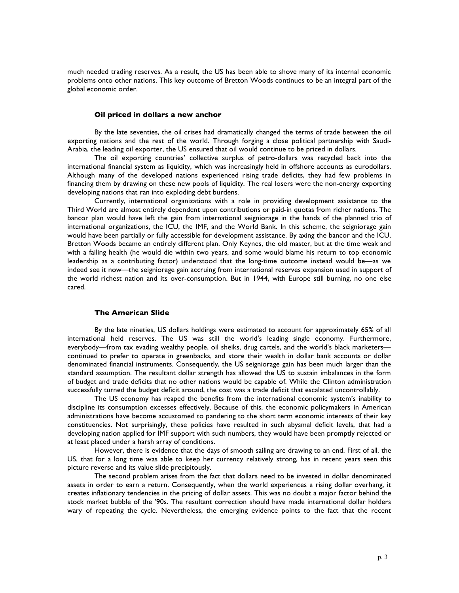much needed trading reserves. As a result, the US has been able to shove many of its internal economic problems onto other nations. This key outcome of Bretton Woods continues to be an integral part of the global economic order.

# **Oil priced in dollars a new anchor**

By the late seventies, the oil crises had dramatically changed the terms of trade between the oil exporting nations and the rest of the world. Through forging a close political partnership with Saudi-Arabia, the leading oil exporter, the US ensured that oil would continue to be priced in dollars.

The oil exporting countries' collective surplus of petro-dollars was recycled back into the international financial system as liquidity, which was increasingly held in offshore accounts as eurodollars. Although many of the developed nations experienced rising trade deficits, they had few problems in financing them by drawing on these new pools of liquidity. The real losers were the non-energy exporting developing nations that ran into exploding debt burdens.

Currently, international organizations with a role in providing development assistance to the Third World are almost entirely dependent upon contributions or paid-in quotas from richer nations. The bancor plan would have left the gain from international seigniorage in the hands of the planned trio of international organizations, the ICU, the IMF, and the World Bank. In this scheme, the seigniorage gain would have been partially or fully accessible for development assistance. By axing the bancor and the ICU, Bretton Woods became an entirely different plan. Only Keynes, the old master, but at the time weak and with a failing health (he would die within two years, and some would blame his return to top economic leadership as a contributing factor) understood that the long-time outcome instead would be—as we indeed see it now—the seigniorage gain accruing from international reserves expansion used in support of the world richest nation and its over-consumption. But in 1944, with Europe still burning, no one else cared.

### **The American Slide**

By the late nineties, US dollars holdings were estimated to account for approximately 65% of all international held reserves. The US was still the world's leading single economy. Furthermore, everybody—from tax evading wealthy people, oil sheiks, drug cartels, and the world's black marketers continued to prefer to operate in greenbacks, and store their wealth in dollar bank accounts or dollar denominated financial instruments. Consequently, the US seigniorage gain has been much larger than the standard assumption. The resultant dollar strength has allowed the US to sustain imbalances in the form of budget and trade deficits that no other nations would be capable of. While the Clinton administration successfully turned the budget deficit around, the cost was a trade deficit that escalated uncontrollably.

The US economy has reaped the benefits from the international economic system's inability to discipline its consumption excesses effectively. Because of this, the economic policymakers in American administrations have become accustomed to pandering to the short term economic interests of their key constituencies. Not surprisingly, these policies have resulted in such abysmal deficit levels, that had a developing nation applied for IMF support with such numbers, they would have been promptly rejected or at least placed under a harsh array of conditions.

However, there is evidence that the days of smooth sailing are drawing to an end. First of all, the US, that for a long time was able to keep her currency relatively strong, has in recent years seen this picture reverse and its value slide precipitously.

The second problem arises from the fact that dollars need to be invested in dollar denominated assets in order to earn a return. Consequently, when the world experiences a rising dollar overhang, it creates inflationary tendencies in the pricing of dollar assets. This was no doubt a major factor behind the stock market bubble of the '90s. The resultant correction should have made international dollar holders wary of repeating the cycle. Nevertheless, the emerging evidence points to the fact that the recent